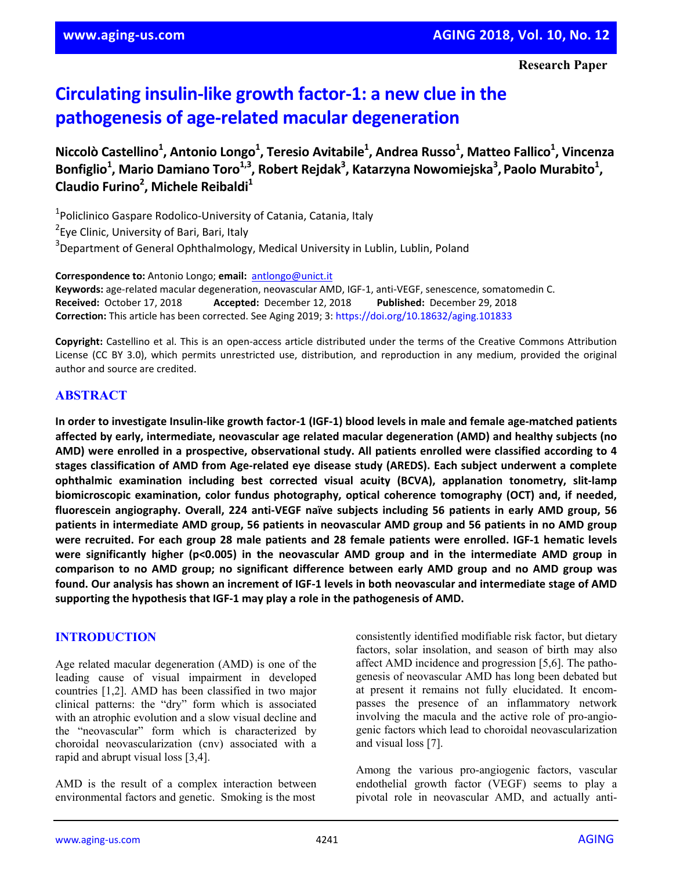# **Circulating insulin‐like growth factor‐1: a new clue in the pathogenesis of age‐related macular degeneration**

**Niccolò Castellino1 , Antonio Longo1 , Teresio Avitabile1 , Andrea Russo1 , Matteo Fallico1 , Vincenza**  $\bf{B}$ onfiglio<sup>1</sup>, Mario Damiano Toro<sup>1,3</sup>, Robert Rejdak<sup>3</sup>, Katarzyna Nowomiejska<sup>3</sup>, Paolo Murabito<sup>1</sup>, **Claudio Furino2 , Michele Reibaldi1**

1 Policlinico Gaspare Rodolico‐University of Catania, Catania, Italy <sup>2</sup> Eye Clinic, University of Bari, Bari, Italy <sup>3</sup>Department of General Ophthalmology, Medical University in Lublin, Lublin, Poland

**Correspondence to:** Antonio Longo; **email:** antlongo@unict.it **Keywords:** age‐related macular degeneration, neovascular AMD, IGF‐1, anti‐VEGF, senescence, somatomedin C. **Received:** October 17, 2018 **Accepted:** December 12, 2018 **Published:** December 29, 2018 **Correction:** This article has been corrected. See Aging 2019; 3: https://doi.org/10.18632/aging.101833

**Copyright:** Castellino et al. This is an open‐access article distributed under the terms of the Creative Commons Attribution License (CC BY 3.0), which permits unrestricted use, distribution, and reproduction in any medium, provided the original author and source are credited.

## **ABSTRACT**

In order to investigate Insulin-like growth factor-1 (IGF-1) blood levels in male and female age-matched patients **affected by early, intermediate, neovascular age related macular degeneration (AMD) and healthy subjects (no AMD) were enrolled in a prospective, observational study. All patients enrolled were classified according to 4** stages classification of AMD from Age-related eye disease study (AREDS). Each subject underwent a complete **ophthalmic examination including best corrected visual acuity (BCVA), applanation tonometry, slit‐lamp biomicroscopic examination, color fundus photography, optical coherence tomography (OCT) and, if needed,** fluorescein angiography. Overall, 224 anti-VEGF naïve subjects including 56 patients in early AMD group, 56 patients in intermediate AMD group, 56 patients in neovascular AMD group and 56 patients in no AMD group were recruited. For each group 28 male patients and 28 female patients were enrolled. IGF-1 hematic levels **were significantly higher (p<0.005) in the neovascular AMD group and in the intermediate AMD group in comparison to no AMD group; no significant difference between early AMD group and no AMD group was** found. Our analysis has shown an increment of IGF-1 levels in both neovascular and intermediate stage of AMD **supporting the hypothesis that IGF‐1 may play a role in the pathogenesis of AMD.** 

#### **INTRODUCTION**

Age related macular degeneration (AMD) is one of the leading cause of visual impairment in developed countries [1,2]. AMD has been classified in two major clinical patterns: the "dry" form which is associated with an atrophic evolution and a slow visual decline and the "neovascular" form which is characterized by choroidal neovascularization (cnv) associated with a rapid and abrupt visual loss [3,4].

AMD is the result of a complex interaction between environmental factors and genetic. Smoking is the most

consistently identified modifiable risk factor, but dietary factors, solar insolation, and season of birth may also affect AMD incidence and progression [5,6]. The pathogenesis of neovascular AMD has long been debated but at present it remains not fully elucidated. It encompasses the presence of an inflammatory network involving the macula and the active role of pro-angiogenic factors which lead to choroidal neovascularization and visual loss [7].

Among the various pro-angiogenic factors, vascular endothelial growth factor (VEGF) seems to play a pivotal role in neovascular AMD, and actually anti-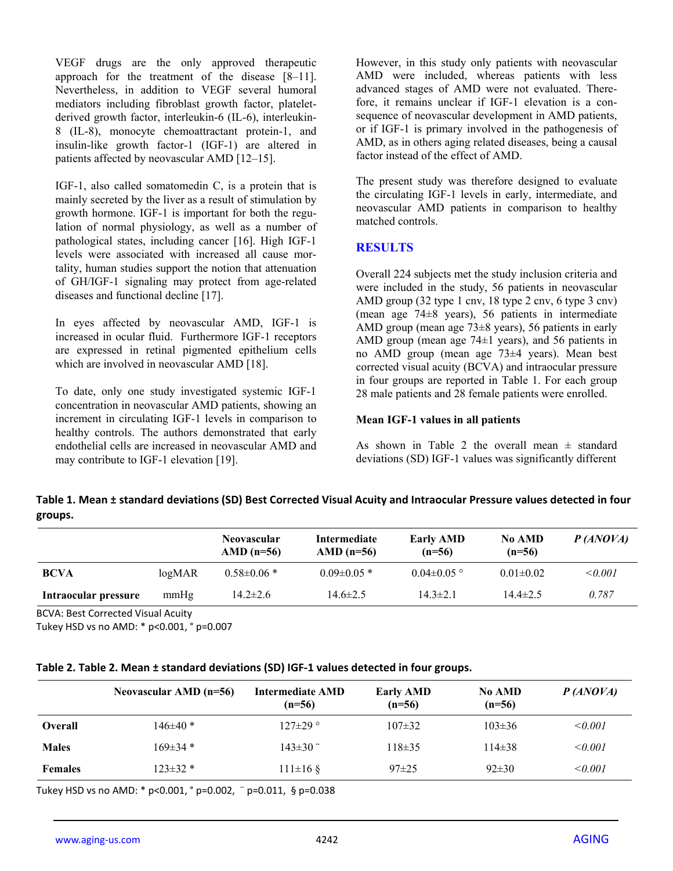VEGF drugs are the only approved therapeutic approach for the treatment of the disease [8–11]. Nevertheless, in addition to VEGF several humoral mediators including fibroblast growth factor, plateletderived growth factor, interleukin-6 (IL-6), interleukin-8 (IL-8), monocyte chemoattractant protein-1, and insulin-like growth factor-1 (IGF-1) are altered in patients affected by neovascular AMD [12–15].

IGF-1, also called somatomedin C, is a protein that is mainly secreted by the liver as a result of stimulation by growth hormone. IGF-1 is important for both the regulation of normal physiology, as well as a number of pathological states, including cancer [16]. High IGF-1 levels were associated with increased all cause mortality, human studies support the notion that attenuation of GH/IGF-1 signaling may protect from age-related diseases and functional decline [17].

In eyes affected by neovascular AMD, IGF-1 is increased in ocular fluid. Furthermore IGF-1 receptors are expressed in retinal pigmented epithelium cells which are involved in neovascular AMD [18].

To date, only one study investigated systemic IGF-1 concentration in neovascular AMD patients, showing an increment in circulating IGF-1 levels in comparison to healthy controls. The authors demonstrated that early endothelial cells are increased in neovascular AMD and may contribute to IGF-1 elevation [19].

However, in this study only patients with neovascular AMD were included, whereas patients with less advanced stages of AMD were not evaluated. Therefore, it remains unclear if IGF-1 elevation is a consequence of neovascular development in AMD patients, or if IGF-1 is primary involved in the pathogenesis of AMD, as in others aging related diseases, being a causal factor instead of the effect of AMD.

The present study was therefore designed to evaluate the circulating IGF-1 levels in early, intermediate, and neovascular AMD patients in comparison to healthy matched controls.

## **RESULTS**

Overall 224 subjects met the study inclusion criteria and were included in the study, 56 patients in neovascular AMD group (32 type 1 cnv, 18 type 2 cnv, 6 type 3 cnv) (mean age 74±8 years), 56 patients in intermediate AMD group (mean age  $73\pm8$  years), 56 patients in early AMD group (mean age 74±1 years), and 56 patients in no AMD group (mean age 73±4 years). Mean best corrected visual acuity (BCVA) and intraocular pressure in four groups are reported in Table 1. For each group 28 male patients and 28 female patients were enrolled.

#### **Mean IGF-1 values in all patients**

As shown in Table 2 the overall mean  $\pm$  standard deviations (SD) IGF-1 values was significantly different

# Table 1. Mean ± standard deviations (SD) Best Corrected Visual Acuity and Intraocular Pressure values detected in four **groups.**

|                      |                   | <b>Neovascular</b><br>AMD $(n=56)$ | Intermediate<br>AMD $(n=56)$ | <b>Early AMD</b><br>$(n=56)$ | <b>No AMD</b><br>$(n=56)$ | P(ANOVA)    |
|----------------------|-------------------|------------------------------------|------------------------------|------------------------------|---------------------------|-------------|
| <b>BCVA</b>          | log <sub>MR</sub> | $0.58 \pm 0.06*$                   | $0.09 \pm 0.05$ *            | $0.04 \pm 0.05$ °            | $0.01 \pm 0.02$           | $\le 0.001$ |
| Intraocular pressure | mmHg              | $14.2 \pm 2.6$                     | $14.6 \pm 2.5$               | $14.3 \pm 2.1$               | $144\pm2.5$               | 0.787       |

BCVA: Best Corrected Visual Acuity

Tukey HSD vs no AMD: \* p<0.001, ° p=0.007

#### **Table 2. Table 2. Mean ± standard deviations (SD) IGF‐1 values detected in four groups.**

|                | Neovascular AMD $(n=56)$ | Intermediate AMD<br>$(n=56)$ | <b>Early AMD</b><br>$(n=56)$ | <b>No AMD</b><br>$(n=56)$ | P(ANOVA)    |
|----------------|--------------------------|------------------------------|------------------------------|---------------------------|-------------|
| <b>Overall</b> | $146 \pm 40$ *           | $127 \pm 29$ °               | $107 \pm 32$                 | $103 \pm 36$              | $\le 0.001$ |
| <b>Males</b>   | $169\pm34$ *             | $143\pm30$                   | $118 \pm 35$                 | $114\pm38$                | < 0.001     |
| <b>Females</b> | $123 \pm 32$ *           | $111 \pm 16$ §               | $97 \pm 25$                  | $92 \pm 30$               | < 0.001     |

Tukey HSD vs no AMD: \* p<0.001, ° p=0.002, ¨ p=0.011, § p=0.038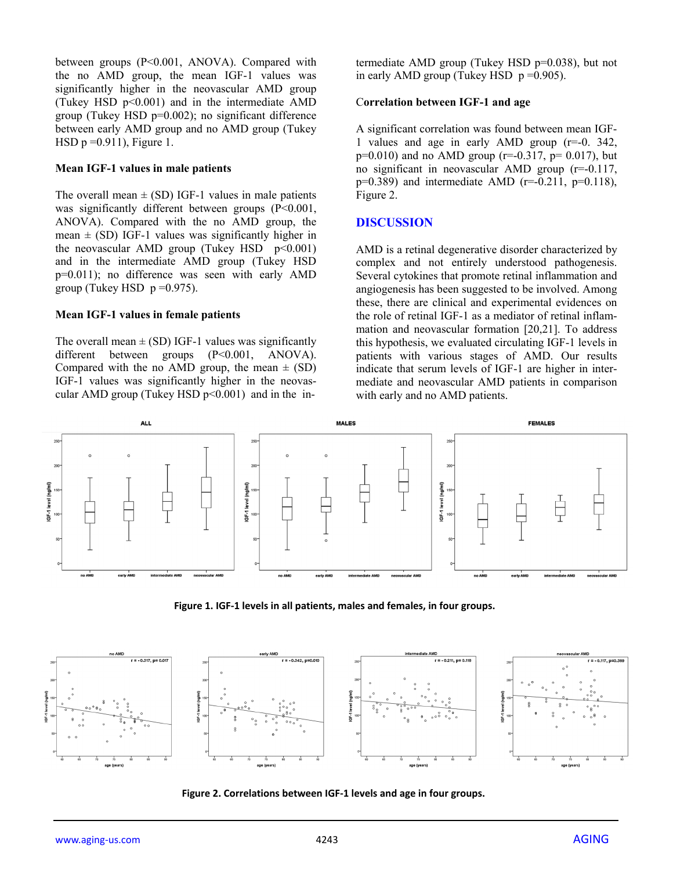between groups (P<0.001, ANOVA). Compared with the no AMD group, the mean IGF-1 values was significantly higher in the neovascular AMD group (Tukey HSD p<0.001) and in the intermediate AMD group (Tukey HSD p=0.002); no significant difference between early AMD group and no AMD group (Tukey HSD  $p = 0.911$ , Figure 1.

#### **Mean IGF-1 values in male patients**

The overall mean  $\pm$  (SD) IGF-1 values in male patients was significantly different between groups (P<0.001, ANOVA). Compared with the no AMD group, the mean  $\pm$  (SD) IGF-1 values was significantly higher in the neovascular AMD group (Tukey HSD  $p<0.001$ ) and in the intermediate AMD group (Tukey HSD p=0.011); no difference was seen with early AMD group (Tukey HSD  $p = 0.975$ ).

#### **Mean IGF-1 values in female patients**

The overall mean  $\pm$  (SD) IGF-1 values was significantly different between groups (P<0.001, ANOVA). Compared with the no AMD group, the mean  $\pm$  (SD) IGF-1 values was significantly higher in the neovascular AMD group (Tukey HSD  $p<0.001$ ) and in the intermediate AMD group (Tukey HSD p=0.038), but not in early AMD group (Tukey HSD  $p = 0.905$ ).

#### C**orrelation between IGF-1 and age**

A significant correlation was found between mean IGF-1 values and age in early AMD group (r=-0. 342,  $p=0.010$ ) and no AMD group ( $r=-0.317$ ,  $p=0.017$ ), but no significant in neovascular AMD group (r=-0.117,  $p=0.389$ ) and intermediate AMD ( $r=-0.211$ ,  $p=0.118$ ), Figure 2.

## **DISCUSSION**

AMD is a retinal degenerative disorder characterized by complex and not entirely understood pathogenesis. Several cytokines that promote retinal inflammation and angiogenesis has been suggested to be involved. Among these, there are clinical and experimental evidences on the role of retinal IGF-1 as a mediator of retinal inflammation and neovascular formation [20,21]. To address this hypothesis, we evaluated circulating IGF-1 levels in patients with various stages of AMD. Our results indicate that serum levels of IGF-1 are higher in intermediate and neovascular AMD patients in comparison with early and no AMD patients.



**Figure 1. IGF‐1 levels in all patients, males and females, in four groups.**



**Figure 2. Correlations between IGF‐1 levels and age in four groups.**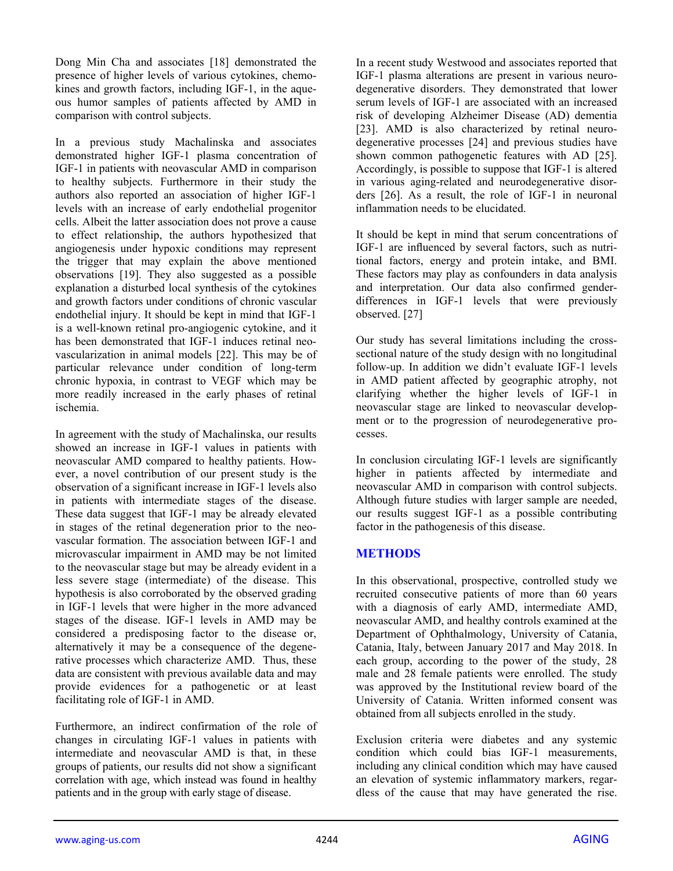Dong Min Cha and associates [18] demonstrated the presence of higher levels of various cytokines, chemokines and growth factors, including IGF-1, in the aqueous humor samples of patients affected by AMD in comparison with control subjects.

In a previous study Machalinska and associates demonstrated higher IGF-1 plasma concentration of IGF-1 in patients with neovascular AMD in comparison to healthy subjects. Furthermore in their study the authors also reported an association of higher IGF-1 levels with an increase of early endothelial progenitor cells. Albeit the latter association does not prove a cause to effect relationship, the authors hypothesized that angiogenesis under hypoxic conditions may represent the trigger that may explain the above mentioned observations [19]. They also suggested as a possible explanation a disturbed local synthesis of the cytokines and growth factors under conditions of chronic vascular endothelial injury. It should be kept in mind that IGF-1 is a well-known retinal pro-angiogenic cytokine, and it has been demonstrated that IGF-1 induces retinal neovascularization in animal models [22]. This may be of particular relevance under condition of long-term chronic hypoxia, in contrast to VEGF which may be more readily increased in the early phases of retinal ischemia.

In agreement with the study of Machalinska, our results showed an increase in IGF-1 values in patients with neovascular AMD compared to healthy patients. However, a novel contribution of our present study is the observation of a significant increase in IGF-1 levels also in patients with intermediate stages of the disease. These data suggest that IGF-1 may be already elevated in stages of the retinal degeneration prior to the neovascular formation. The association between IGF-1 and microvascular impairment in AMD may be not limited to the neovascular stage but may be already evident in a less severe stage (intermediate) of the disease. This hypothesis is also corroborated by the observed grading in IGF-1 levels that were higher in the more advanced stages of the disease. IGF-1 levels in AMD may be considered a predisposing factor to the disease or, alternatively it may be a consequence of the degenerative processes which characterize AMD. Thus, these data are consistent with previous available data and may provide evidences for a pathogenetic or at least facilitating role of IGF-1 in AMD.

Furthermore, an indirect confirmation of the role of changes in circulating IGF-1 values in patients with intermediate and neovascular AMD is that, in these groups of patients, our results did not show a significant correlation with age, which instead was found in healthy patients and in the group with early stage of disease.

In a recent study Westwood and associates reported that IGF-1 plasma alterations are present in various neurodegenerative disorders. They demonstrated that lower serum levels of IGF-1 are associated with an increased risk of developing Alzheimer Disease (AD) dementia [23]. AMD is also characterized by retinal neurodegenerative processes [24] and previous studies have shown common pathogenetic features with AD [25]. Accordingly, is possible to suppose that IGF-1 is altered in various aging-related and neurodegenerative disorders [26]. As a result, the role of IGF-1 in neuronal inflammation needs to be elucidated.

It should be kept in mind that serum concentrations of IGF-1 are influenced by several factors, such as nutritional factors, energy and protein intake, and BMI. These factors may play as confounders in data analysis and interpretation. Our data also confirmed genderdifferences in IGF-1 levels that were previously observed. [27]

Our study has several limitations including the crosssectional nature of the study design with no longitudinal follow-up. In addition we didn't evaluate IGF-1 levels in AMD patient affected by geographic atrophy, not clarifying whether the higher levels of IGF-1 in neovascular stage are linked to neovascular development or to the progression of neurodegenerative processes.

In conclusion circulating IGF-1 levels are significantly higher in patients affected by intermediate and neovascular AMD in comparison with control subjects. Although future studies with larger sample are needed, our results suggest IGF-1 as a possible contributing factor in the pathogenesis of this disease.

## **METHODS**

In this observational, prospective, controlled study we recruited consecutive patients of more than 60 years with a diagnosis of early AMD, intermediate AMD, neovascular AMD, and healthy controls examined at the Department of Ophthalmology, University of Catania, Catania, Italy, between January 2017 and May 2018. In each group, according to the power of the study, 28 male and 28 female patients were enrolled. The study was approved by the Institutional review board of the University of Catania. Written informed consent was obtained from all subjects enrolled in the study.

Exclusion criteria were diabetes and any systemic condition which could bias IGF-1 measurements, including any clinical condition which may have caused an elevation of systemic inflammatory markers, regardless of the cause that may have generated the rise.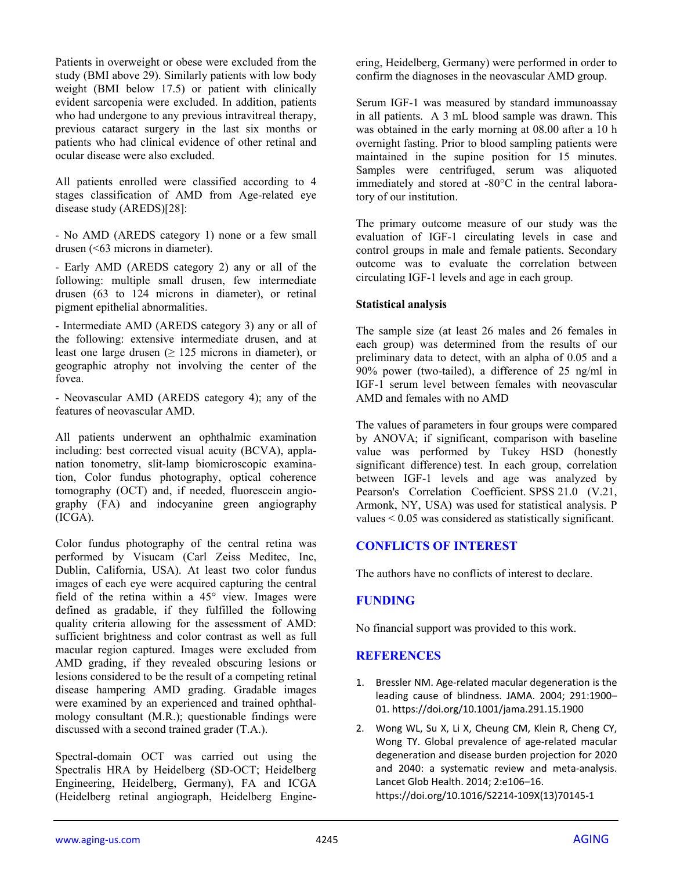Patients in overweight or obese were excluded from the study (BMI above 29). Similarly patients with low body weight (BMI below 17.5) or patient with clinically evident sarcopenia were excluded. In addition, patients who had undergone to any previous intravitreal therapy, previous cataract surgery in the last six months or patients who had clinical evidence of other retinal and ocular disease were also excluded.

All patients enrolled were classified according to 4 stages classification of AMD from Age-related eye disease study (AREDS)[28]:

- No AMD (AREDS category 1) none or a few small drusen (<63 microns in diameter).

- Early AMD (AREDS category 2) any or all of the following: multiple small drusen, few intermediate drusen (63 to 124 microns in diameter), or retinal pigment epithelial abnormalities.

- Intermediate AMD (AREDS category 3) any or all of the following: extensive intermediate drusen, and at least one large drusen  $(≥ 125$  microns in diameter), or geographic atrophy not involving the center of the fovea.

- Neovascular AMD (AREDS category 4); any of the features of neovascular AMD.

All patients underwent an ophthalmic examination including: best corrected visual acuity (BCVA), applanation tonometry, slit-lamp biomicroscopic examination, Color fundus photography, optical coherence tomography (OCT) and, if needed, fluorescein angiography (FA) and indocyanine green angiography (ICGA).

Color fundus photography of the central retina was performed by Visucam (Carl Zeiss Meditec, Inc, Dublin, California, USA). At least two color fundus images of each eye were acquired capturing the central field of the retina within a 45° view. Images were defined as gradable, if they fulfilled the following quality criteria allowing for the assessment of AMD: sufficient brightness and color contrast as well as full macular region captured. Images were excluded from AMD grading, if they revealed obscuring lesions or lesions considered to be the result of a competing retinal disease hampering AMD grading. Gradable images were examined by an experienced and trained ophthalmology consultant (M.R.); questionable findings were discussed with a second trained grader (T.A.).

Spectral-domain OCT was carried out using the Spectralis HRA by Heidelberg (SD-OCT; Heidelberg Engineering, Heidelberg, Germany), FA and ICGA (Heidelberg retinal angiograph, Heidelberg Engineering, Heidelberg, Germany) were performed in order to confirm the diagnoses in the neovascular AMD group.

Serum IGF-1 was measured by standard immunoassay in all patients.A 3 mL blood sample was drawn. This was obtained in the early morning at 08.00 after a 10 h overnight fasting. Prior to blood sampling patients were maintained in the supine position for 15 minutes. Samples were centrifuged, serum was aliquoted immediately and stored at -80°C in the central laboratory of our institution.

The primary outcome measure of our study was the evaluation of IGF-1 circulating levels in case and control groups in male and female patients. Secondary outcome was to evaluate the correlation between circulating IGF-1 levels and age in each group.

#### **Statistical analysis**

The sample size (at least 26 males and 26 females in each group) was determined from the results of our preliminary data to detect, with an alpha of 0.05 and a 90% power (two-tailed), a difference of 25 ng/ml in IGF-1 serum level between females with neovascular AMD and females with no AMD

The values of parameters in four groups were compared by ANOVA; if significant, comparison with baseline value was performed by Tukey HSD (honestly significant difference) test. In each group, correlation between IGF-1 levels and age was analyzed by Pearson's Correlation Coefficient. SPSS 21.0 (V.21, Armonk, NY, USA) was used for statistical analysis. P values < 0.05 was considered as statistically significant.

## **CONFLICTS OF INTEREST**

The authors have no conflicts of interest to declare.

## **FUNDING**

No financial support was provided to this work.

## **REFERENCES**

- 1. Bressler NM. Age-related macular degeneration is the leading cause of blindness. JAMA. 2004; 291:1900– 01. https://doi.org/10.1001/jama.291.15.1900
- 2. Wong WL, Su X, Li X, Cheung CM, Klein R, Cheng CY, Wong TY. Global prevalence of age-related macular degeneration and disease burden projection for 2020 and 2040: a systematic review and meta-analysis. Lancet Glob Health. 2014; 2:e106–16. https://doi.org/10.1016/S2214‐109X(13)70145‐1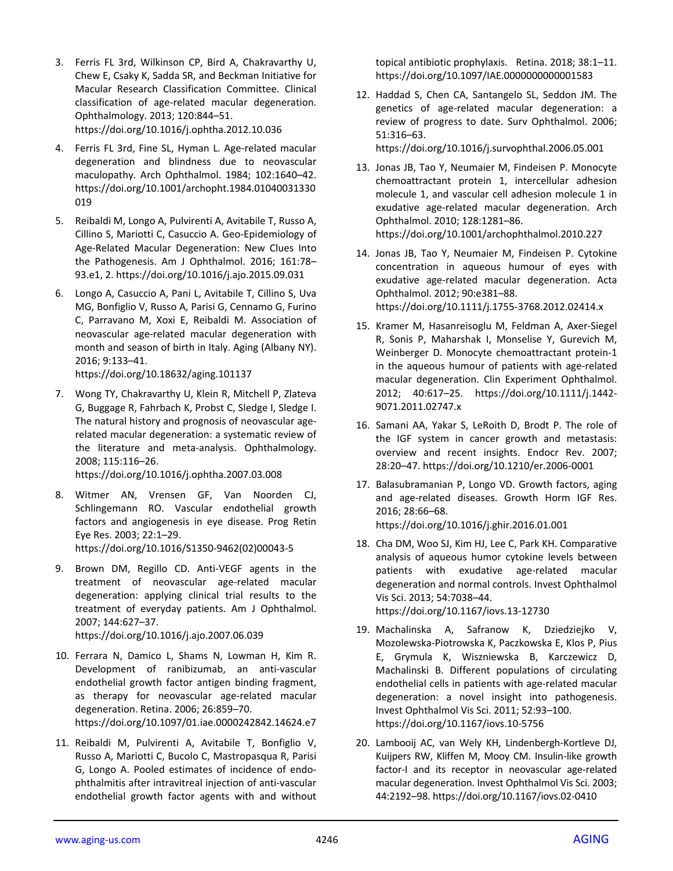- 3. Ferris FL 3rd, Wilkinson CP, Bird A, Chakravarthy U, Chew E, Csaky K, Sadda SR, and Beckman Initiative for Macular Research Classification Committee. Clinical classification of age‐related macular degeneration. Ophthalmology. 2013; 120:844–51. https://doi.org/10.1016/j.ophtha.2012.10.036
- 4. Ferris FL 3rd, Fine SL, Hyman L. Age-related macular degeneration and blindness due to neovascular maculopathy. Arch Ophthalmol. 1984; 102:1640–42. https://doi.org/10.1001/archopht.1984.01040031330 019
- 5. Reibaldi M, Longo A, Pulvirenti A, Avitabile T, Russo A, Cillino S, Mariotti C, Casuccio A. Geo‐Epidemiology of Age‐Related Macular Degeneration: New Clues Into the Pathogenesis. Am J Ophthalmol. 2016; 161:78– 93.e1, 2. https://doi.org/10.1016/j.ajo.2015.09.031
- 6. Longo A, Casuccio A, Pani L, Avitabile T, Cillino S, Uva MG, Bonfiglio V, Russo A, Parisi G, Cennamo G, Furino C, Parravano M, Xoxi E, Reibaldi M. Association of neovascular age‐related macular degeneration with month and season of birth in Italy. Aging (Albany NY). 2016; 9:133–41.

https://doi.org/10.18632/aging.101137

7. Wong TY, Chakravarthy U, Klein R, Mitchell P, Zlateva G, Buggage R, Fahrbach K, Probst C, Sledge I, Sledge I. The natural history and prognosis of neovascular age‐ related macular degeneration: a systematic review of the literature and meta‐analysis. Ophthalmology. 2008; 115:116–26.

https://doi.org/10.1016/j.ophtha.2007.03.008

- 8. Witmer AN, Vrensen GF, Van Noorden CJ, Schlingemann RO. Vascular endothelial growth factors and angiogenesis in eye disease. Prog Retin Eye Res. 2003; 22:1–29. https://doi.org/10.1016/S1350‐9462(02)00043‐5
- 9. Brown DM, Regillo CD. Anti-VEGF agents in the treatment of neovascular age‐related macular degeneration: applying clinical trial results to the treatment of everyday patients. Am J Ophthalmol. 2007; 144:627–37. https://doi.org/10.1016/j.ajo.2007.06.039
- 10. Ferrara N, Damico L, Shams N, Lowman H, Kim R. Development of ranibizumab, an anti-vascular endothelial growth factor antigen binding fragment, as therapy for neovascular age-related macular degeneration. Retina. 2006; 26:859–70. https://doi.org/10.1097/01.iae.0000242842.14624.e7
- 11. Reibaldi M, Pulvirenti A, Avitabile T, Bonfiglio V, Russo A, Mariotti C, Bucolo C, Mastropasqua R, Parisi G, Longo A. Pooled estimates of incidence of endo‐ phthalmitis after intravitreal injection of anti‐vascular endothelial growth factor agents with and without

topical antibiotic prophylaxis. Retina. 2018; 38:1–11. https://doi.org/10.1097/IAE.0000000000001583

12. Haddad S, Chen CA, Santangelo SL, Seddon JM. The genetics of age-related macular degeneration: a review of progress to date. Surv Ophthalmol. 2006; 51:316–63.

https://doi.org/10.1016/j.survophthal.2006.05.001

- 13. Jonas JB, Tao Y, Neumaier M, Findeisen P. Monocyte chemoattractant protein 1, intercellular adhesion molecule 1, and vascular cell adhesion molecule 1 in exudative age‐related macular degeneration. Arch Ophthalmol. 2010; 128:1281–86. https://doi.org/10.1001/archophthalmol.2010.227
- 14. Jonas JB, Tao Y, Neumaier M, Findeisen P. Cytokine concentration in aqueous humour of eyes with exudative age‐related macular degeneration. Acta Ophthalmol. 2012; 90:e381–88. https://doi.org/10.1111/j.1755‐3768.2012.02414.x
- 15. Kramer M, Hasanreisoglu M, Feldman A, Axer‐Siegel R, Sonis P, Maharshak I, Monselise Y, Gurevich M, Weinberger D. Monocyte chemoattractant protein‐1 in the aqueous humour of patients with age‐related macular degeneration. Clin Experiment Ophthalmol. 2012; 40:617–25. https://doi.org/10.1111/j.1442‐ 9071.2011.02747.x
- 16. Samani AA, Yakar S, LeRoith D, Brodt P. The role of the IGF system in cancer growth and metastasis: overview and recent insights. Endocr Rev. 2007; 28:20–47. https://doi.org/10.1210/er.2006‐0001
- 17. Balasubramanian P, Longo VD. Growth factors, aging and age‐related diseases. Growth Horm IGF Res. 2016; 28:66–68. https://doi.org/10.1016/j.ghir.2016.01.001
- 18. Cha DM, Woo SJ, Kim HJ, Lee C, Park KH. Comparative analysis of aqueous humor cytokine levels between patients with exudative age-related macular degeneration and normal controls. Invest Ophthalmol Vis Sci. 2013; 54:7038–44. https://doi.org/10.1167/iovs.13‐12730
- 19. Machalinska A, Safranow K, Dziedziejko V, Mozolewska‐Piotrowska K, Paczkowska E, Klos P, Pius E, Grymula K, Wiszniewska B, Karczewicz D, Machalinski B. Different populations of circulating endothelial cells in patients with age-related macular degeneration: a novel insight into pathogenesis. Invest Ophthalmol Vis Sci. 2011; 52:93–100. https://doi.org/10.1167/iovs.10‐5756
- 20. Lambooij AC, van Wely KH, Lindenbergh‐Kortleve DJ, Kuijpers RW, Kliffen M, Mooy CM. Insulin‐like growth factor-I and its receptor in neovascular age-related macular degeneration. Invest Ophthalmol Vis Sci. 2003; 44:2192–98. https://doi.org/10.1167/iovs.02‐0410